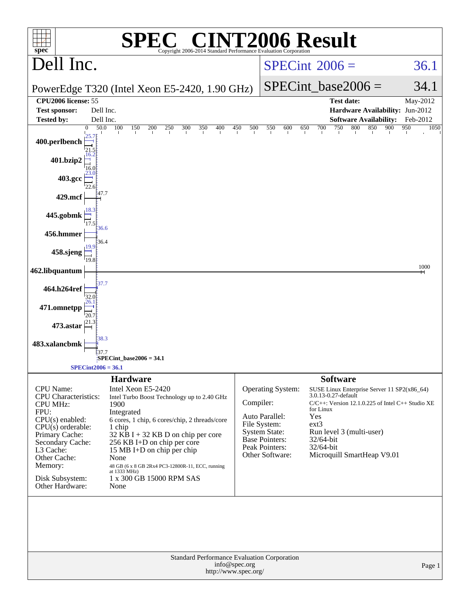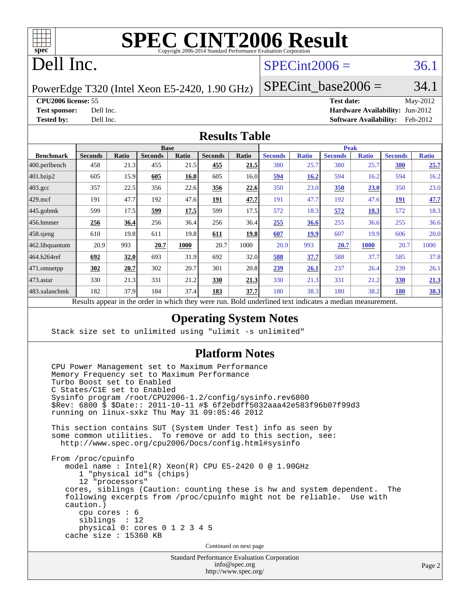

### Dell Inc.

#### $SPECint2006 = 36.1$  $SPECint2006 = 36.1$

PowerEdge T320 (Intel Xeon E5-2420, 1.90 GHz)

SPECint base2006 =  $34.1$ 

**[CPU2006 license:](http://www.spec.org/auto/cpu2006/Docs/result-fields.html#CPU2006license)** 55 **[Test date:](http://www.spec.org/auto/cpu2006/Docs/result-fields.html#Testdate)** May-2012 **[Test sponsor:](http://www.spec.org/auto/cpu2006/Docs/result-fields.html#Testsponsor)** Dell Inc. **[Hardware Availability:](http://www.spec.org/auto/cpu2006/Docs/result-fields.html#HardwareAvailability)** Jun-2012 **[Tested by:](http://www.spec.org/auto/cpu2006/Docs/result-fields.html#Testedby)** Dell Inc. **[Software Availability:](http://www.spec.org/auto/cpu2006/Docs/result-fields.html#SoftwareAvailability)** Feb-2012

#### **[Results Table](http://www.spec.org/auto/cpu2006/Docs/result-fields.html#ResultsTable)**

|                    | <b>Base</b>                                                                                              |       |                |       | <b>Peak</b>    |       |                |              |                |              |                |              |
|--------------------|----------------------------------------------------------------------------------------------------------|-------|----------------|-------|----------------|-------|----------------|--------------|----------------|--------------|----------------|--------------|
| <b>Benchmark</b>   | <b>Seconds</b>                                                                                           | Ratio | <b>Seconds</b> | Ratio | <b>Seconds</b> | Ratio | <b>Seconds</b> | <b>Ratio</b> | <b>Seconds</b> | <b>Ratio</b> | <b>Seconds</b> | <b>Ratio</b> |
| $ 400$ .perlbench  | 458                                                                                                      | 21.3  | 455            | 21.5  | 455            | 21.5  | 380            | 25.7         | 380            | 25.7         | 380            | 25.7         |
| 401.bzip2          | 605                                                                                                      | 15.9  | 605            | 16.0  | 605            | 16.0  | 594            | 16.2         | 594            | 16.2         | 594            | 16.2         |
| $403.\mathrm{gcc}$ | 357                                                                                                      | 22.5  | 356            | 22.6  | 356            | 22.6  | 350            | 23.0         | 350            | 23.0         | 350            | 23.0         |
| $429$ mcf          | 191                                                                                                      | 47.7  | 192            | 47.6  | 191            | 47.7  | 191            | 47.7         | 192            | 47.6         | <b>191</b>     | 47.7         |
| $445$ .gobmk       | 599                                                                                                      | 17.5  | 599            | 17.5  | 599            | 17.5  | 572            | 18.3         | 572            | 18.3         | 572            | 18.3         |
| $456.$ hmmer       | 256                                                                                                      | 36.4  | 256            | 36.4  | 256            | 36.4  | 255            | 36.6         | 255            | 36.6         | 255            | 36.6         |
| $458$ .sjeng       | 610                                                                                                      | 19.8  | 611            | 19.8  | 611            | 19.8  | 607            | <b>19.9</b>  | 607            | 19.9         | 606            | 20.0         |
| 462.libquantum     | 20.9                                                                                                     | 993   | 20.7           | 1000  | 20.7           | 1000  | 20.9           | 993          | 20.7           | 1000         | 20.7           | 1000         |
| 464.h264ref        | 692                                                                                                      | 32.0  | 693            | 31.9  | 692            | 32.0  | 588            | 37.7         | 588            | 37.7         | 585            | 37.8         |
| 471.omnetpp        | 302                                                                                                      | 20.7  | 302            | 20.7  | 301            | 20.8  | 239            | 26.1         | 237            | 26.4         | 239            | 26.1         |
| $473$ . astar      | 330                                                                                                      | 21.3  | 331            | 21.2  | 330            | 21.3  | 330            | 21.3         | 331            | 21.2         | <b>330</b>     | 21.3         |
| 483.xalancbmk      | 182                                                                                                      | 37.9  | 184            | 37.4  | 183            | 37.7  | 180            | 38.3         | 180            | 38.2         | <b>180</b>     | 38.3         |
|                    | Results appear in the order in which they were run. Bold underlined text indicates a median measurement. |       |                |       |                |       |                |              |                |              |                |              |

**[Operating System Notes](http://www.spec.org/auto/cpu2006/Docs/result-fields.html#OperatingSystemNotes)**

Stack size set to unlimited using "ulimit -s unlimited"

#### **[Platform Notes](http://www.spec.org/auto/cpu2006/Docs/result-fields.html#PlatformNotes)**

 CPU Power Management set to Maximum Performance Memory Frequency set to Maximum Performance Turbo Boost set to Enabled C States/C1E set to Enabled Sysinfo program /root/CPU2006-1.2/config/sysinfo.rev6800 \$Rev: 6800 \$ \$Date:: 2011-10-11 #\$ 6f2ebdff5032aaa42e583f96b07f99d3 running on linux-sxkz Thu May 31 09:05:46 2012 This section contains SUT (System Under Test) info as seen by some common utilities. To remove or add to this section, see: <http://www.spec.org/cpu2006/Docs/config.html#sysinfo> From /proc/cpuinfo model name : Intel(R) Xeon(R) CPU E5-2420 0 @ 1.90GHz 1 "physical id"s (chips) 12 "processors" cores, siblings (Caution: counting these is hw and system dependent. The following excerpts from /proc/cpuinfo might not be reliable. Use with caution.) cpu cores : 6 siblings : 12 physical 0: cores 0 1 2 3 4 5 cache size : 15360 KB Continued on next page

> Standard Performance Evaluation Corporation [info@spec.org](mailto:info@spec.org) <http://www.spec.org/>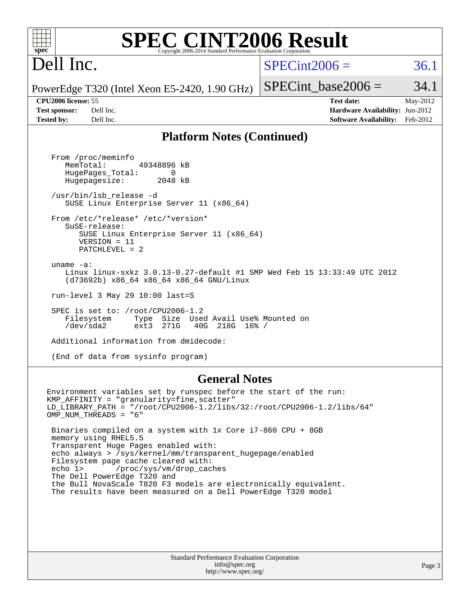| <b>SPEC CINT2006 Result</b><br>spec<br>Copyright 2006-2014 Standard Performance Evaluation Corporation                                                                                                                                                                                                                                                                                                                                                                                                                                                                                                                                                                                       |                                                                                                                      |
|----------------------------------------------------------------------------------------------------------------------------------------------------------------------------------------------------------------------------------------------------------------------------------------------------------------------------------------------------------------------------------------------------------------------------------------------------------------------------------------------------------------------------------------------------------------------------------------------------------------------------------------------------------------------------------------------|----------------------------------------------------------------------------------------------------------------------|
| Dell Inc.                                                                                                                                                                                                                                                                                                                                                                                                                                                                                                                                                                                                                                                                                    | $SPECint2006 =$<br>36.1                                                                                              |
| PowerEdge T320 (Intel Xeon E5-2420, 1.90 GHz)                                                                                                                                                                                                                                                                                                                                                                                                                                                                                                                                                                                                                                                | $SPECint base2006 =$<br>34.1                                                                                         |
| <b>CPU2006</b> license: 55<br><b>Test sponsor:</b><br>Dell Inc.<br>Tested by:<br>Dell Inc.                                                                                                                                                                                                                                                                                                                                                                                                                                                                                                                                                                                                   | May-2012<br><b>Test date:</b><br><b>Hardware Availability: Jun-2012</b><br><b>Software Availability:</b><br>Feb-2012 |
| <b>Platform Notes (Continued)</b>                                                                                                                                                                                                                                                                                                                                                                                                                                                                                                                                                                                                                                                            |                                                                                                                      |
| From /proc/meminfo<br>MemTotal:<br>49348896 kB<br>HugePages_Total:<br>$\Omega$<br>Hugepagesize:<br>2048 kB<br>/usr/bin/lsb release -d<br>SUSE Linux Enterprise Server 11 (x86_64)<br>From /etc/*release* /etc/*version*<br>SuSE-release:<br>SUSE Linux Enterprise Server 11 (x86_64)<br>$VERSION = 11$<br>$PATCHLEVEL = 2$<br>uname $-a$ :<br>Linux linux-sxkz 3.0.13-0.27-default #1 SMP Wed Feb 15 13:33:49 UTC 2012<br>(d73692b) x86_64 x86_64 x86_64 GNU/Linux<br>run-level 3 May 29 10:00 last=S<br>SPEC is set to: /root/CPU2006-1.2<br>Filesystem<br>Size Used Avail Use% Mounted on<br>Type<br>/dev/sda2<br>ext3<br>271G<br>40G 218G 16% /<br>Additional information from dmidecode: |                                                                                                                      |
| (End of data from sysinfo program)                                                                                                                                                                                                                                                                                                                                                                                                                                                                                                                                                                                                                                                           |                                                                                                                      |
|                                                                                                                                                                                                                                                                                                                                                                                                                                                                                                                                                                                                                                                                                              |                                                                                                                      |

F

#### **[General Notes](http://www.spec.org/auto/cpu2006/Docs/result-fields.html#GeneralNotes)**

Environment variables set by runspec before the start of the run: KMP\_AFFINITY = "granularity=fine,scatter" LD\_LIBRARY\_PATH = "/root/CPU2006-1.2/libs/32:/root/CPU2006-1.2/libs/64" OMP\_NUM\_THREADS = "6" Binaries compiled on a system with 1x Core i7-860 CPU + 8GB memory using RHEL5.5 Transparent Huge Pages enabled with: echo always > /sys/kernel/mm/transparent\_hugepage/enabled Filesystem page cache cleared with: echo 1> /proc/sys/vm/drop\_caches The Dell PowerEdge T320 and the Bull NovaScale T820 F3 models are electronically equivalent. The results have been measured on a Dell PowerEdge T320 model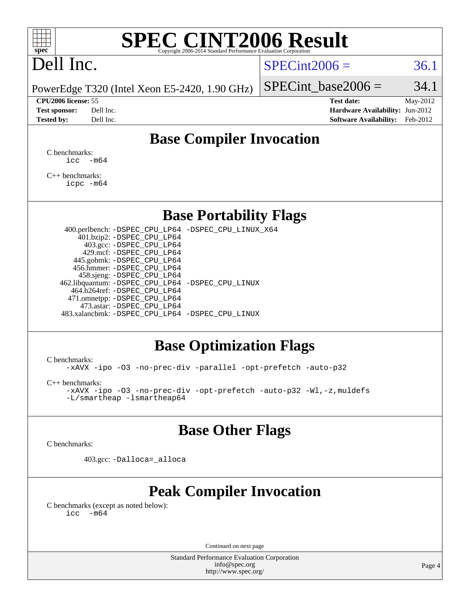## Dell Inc.

#### $SPECint2006 = 36.1$  $SPECint2006 = 36.1$

PowerEdge T320 (Intel Xeon E5-2420, 1.90 GHz)

SPECint base2006 =  $34.1$ **[CPU2006 license:](http://www.spec.org/auto/cpu2006/Docs/result-fields.html#CPU2006license)** 55 **[Test date:](http://www.spec.org/auto/cpu2006/Docs/result-fields.html#Testdate)** May-2012

**[Test sponsor:](http://www.spec.org/auto/cpu2006/Docs/result-fields.html#Testsponsor)** Dell Inc. **[Hardware Availability:](http://www.spec.org/auto/cpu2006/Docs/result-fields.html#HardwareAvailability)** Jun-2012 **[Tested by:](http://www.spec.org/auto/cpu2006/Docs/result-fields.html#Testedby)** Dell Inc. **[Software Availability:](http://www.spec.org/auto/cpu2006/Docs/result-fields.html#SoftwareAvailability)** Feb-2012

#### **[Base Compiler Invocation](http://www.spec.org/auto/cpu2006/Docs/result-fields.html#BaseCompilerInvocation)**

[C benchmarks](http://www.spec.org/auto/cpu2006/Docs/result-fields.html#Cbenchmarks): [icc -m64](http://www.spec.org/cpu2006/results/res2012q3/cpu2006-20120703-23475.flags.html#user_CCbase_intel_icc_64bit_f346026e86af2a669e726fe758c88044)

[C++ benchmarks:](http://www.spec.org/auto/cpu2006/Docs/result-fields.html#CXXbenchmarks) [icpc -m64](http://www.spec.org/cpu2006/results/res2012q3/cpu2006-20120703-23475.flags.html#user_CXXbase_intel_icpc_64bit_fc66a5337ce925472a5c54ad6a0de310)

#### **[Base Portability Flags](http://www.spec.org/auto/cpu2006/Docs/result-fields.html#BasePortabilityFlags)**

 400.perlbench: [-DSPEC\\_CPU\\_LP64](http://www.spec.org/cpu2006/results/res2012q3/cpu2006-20120703-23475.flags.html#b400.perlbench_basePORTABILITY_DSPEC_CPU_LP64) [-DSPEC\\_CPU\\_LINUX\\_X64](http://www.spec.org/cpu2006/results/res2012q3/cpu2006-20120703-23475.flags.html#b400.perlbench_baseCPORTABILITY_DSPEC_CPU_LINUX_X64) 401.bzip2: [-DSPEC\\_CPU\\_LP64](http://www.spec.org/cpu2006/results/res2012q3/cpu2006-20120703-23475.flags.html#suite_basePORTABILITY401_bzip2_DSPEC_CPU_LP64) 403.gcc: [-DSPEC\\_CPU\\_LP64](http://www.spec.org/cpu2006/results/res2012q3/cpu2006-20120703-23475.flags.html#suite_basePORTABILITY403_gcc_DSPEC_CPU_LP64) 429.mcf: [-DSPEC\\_CPU\\_LP64](http://www.spec.org/cpu2006/results/res2012q3/cpu2006-20120703-23475.flags.html#suite_basePORTABILITY429_mcf_DSPEC_CPU_LP64) 445.gobmk: [-DSPEC\\_CPU\\_LP64](http://www.spec.org/cpu2006/results/res2012q3/cpu2006-20120703-23475.flags.html#suite_basePORTABILITY445_gobmk_DSPEC_CPU_LP64) 456.hmmer: [-DSPEC\\_CPU\\_LP64](http://www.spec.org/cpu2006/results/res2012q3/cpu2006-20120703-23475.flags.html#suite_basePORTABILITY456_hmmer_DSPEC_CPU_LP64) 458.sjeng: [-DSPEC\\_CPU\\_LP64](http://www.spec.org/cpu2006/results/res2012q3/cpu2006-20120703-23475.flags.html#suite_basePORTABILITY458_sjeng_DSPEC_CPU_LP64) 462.libquantum: [-DSPEC\\_CPU\\_LP64](http://www.spec.org/cpu2006/results/res2012q3/cpu2006-20120703-23475.flags.html#suite_basePORTABILITY462_libquantum_DSPEC_CPU_LP64) [-DSPEC\\_CPU\\_LINUX](http://www.spec.org/cpu2006/results/res2012q3/cpu2006-20120703-23475.flags.html#b462.libquantum_baseCPORTABILITY_DSPEC_CPU_LINUX) 464.h264ref: [-DSPEC\\_CPU\\_LP64](http://www.spec.org/cpu2006/results/res2012q3/cpu2006-20120703-23475.flags.html#suite_basePORTABILITY464_h264ref_DSPEC_CPU_LP64) 471.omnetpp: [-DSPEC\\_CPU\\_LP64](http://www.spec.org/cpu2006/results/res2012q3/cpu2006-20120703-23475.flags.html#suite_basePORTABILITY471_omnetpp_DSPEC_CPU_LP64) 473.astar: [-DSPEC\\_CPU\\_LP64](http://www.spec.org/cpu2006/results/res2012q3/cpu2006-20120703-23475.flags.html#suite_basePORTABILITY473_astar_DSPEC_CPU_LP64) 483.xalancbmk: [-DSPEC\\_CPU\\_LP64](http://www.spec.org/cpu2006/results/res2012q3/cpu2006-20120703-23475.flags.html#suite_basePORTABILITY483_xalancbmk_DSPEC_CPU_LP64) [-DSPEC\\_CPU\\_LINUX](http://www.spec.org/cpu2006/results/res2012q3/cpu2006-20120703-23475.flags.html#b483.xalancbmk_baseCXXPORTABILITY_DSPEC_CPU_LINUX)

#### **[Base Optimization Flags](http://www.spec.org/auto/cpu2006/Docs/result-fields.html#BaseOptimizationFlags)**

[C benchmarks](http://www.spec.org/auto/cpu2006/Docs/result-fields.html#Cbenchmarks):

[-xAVX](http://www.spec.org/cpu2006/results/res2012q3/cpu2006-20120703-23475.flags.html#user_CCbase_f-xAVX) [-ipo](http://www.spec.org/cpu2006/results/res2012q3/cpu2006-20120703-23475.flags.html#user_CCbase_f-ipo) [-O3](http://www.spec.org/cpu2006/results/res2012q3/cpu2006-20120703-23475.flags.html#user_CCbase_f-O3) [-no-prec-div](http://www.spec.org/cpu2006/results/res2012q3/cpu2006-20120703-23475.flags.html#user_CCbase_f-no-prec-div) [-parallel](http://www.spec.org/cpu2006/results/res2012q3/cpu2006-20120703-23475.flags.html#user_CCbase_f-parallel) [-opt-prefetch](http://www.spec.org/cpu2006/results/res2012q3/cpu2006-20120703-23475.flags.html#user_CCbase_f-opt-prefetch) [-auto-p32](http://www.spec.org/cpu2006/results/res2012q3/cpu2006-20120703-23475.flags.html#user_CCbase_f-auto-p32)

[C++ benchmarks:](http://www.spec.org/auto/cpu2006/Docs/result-fields.html#CXXbenchmarks)

[-xAVX](http://www.spec.org/cpu2006/results/res2012q3/cpu2006-20120703-23475.flags.html#user_CXXbase_f-xAVX) [-ipo](http://www.spec.org/cpu2006/results/res2012q3/cpu2006-20120703-23475.flags.html#user_CXXbase_f-ipo) [-O3](http://www.spec.org/cpu2006/results/res2012q3/cpu2006-20120703-23475.flags.html#user_CXXbase_f-O3) [-no-prec-div](http://www.spec.org/cpu2006/results/res2012q3/cpu2006-20120703-23475.flags.html#user_CXXbase_f-no-prec-div) [-opt-prefetch](http://www.spec.org/cpu2006/results/res2012q3/cpu2006-20120703-23475.flags.html#user_CXXbase_f-opt-prefetch) [-auto-p32](http://www.spec.org/cpu2006/results/res2012q3/cpu2006-20120703-23475.flags.html#user_CXXbase_f-auto-p32) [-Wl,-z,muldefs](http://www.spec.org/cpu2006/results/res2012q3/cpu2006-20120703-23475.flags.html#user_CXXbase_link_force_multiple1_74079c344b956b9658436fd1b6dd3a8a) [-L/smartheap -lsmartheap64](http://www.spec.org/cpu2006/results/res2012q3/cpu2006-20120703-23475.flags.html#user_CXXbase_SmartHeap64_5e654037dadeae1fe403ab4b4466e60b)

#### **[Base Other Flags](http://www.spec.org/auto/cpu2006/Docs/result-fields.html#BaseOtherFlags)**

[C benchmarks](http://www.spec.org/auto/cpu2006/Docs/result-fields.html#Cbenchmarks):

403.gcc: [-Dalloca=\\_alloca](http://www.spec.org/cpu2006/results/res2012q3/cpu2006-20120703-23475.flags.html#b403.gcc_baseEXTRA_CFLAGS_Dalloca_be3056838c12de2578596ca5467af7f3)

#### **[Peak Compiler Invocation](http://www.spec.org/auto/cpu2006/Docs/result-fields.html#PeakCompilerInvocation)**

[C benchmarks \(except as noted below\)](http://www.spec.org/auto/cpu2006/Docs/result-fields.html#Cbenchmarksexceptasnotedbelow):  $\text{icc}$  -m64

Continued on next page

Standard Performance Evaluation Corporation [info@spec.org](mailto:info@spec.org) <http://www.spec.org/>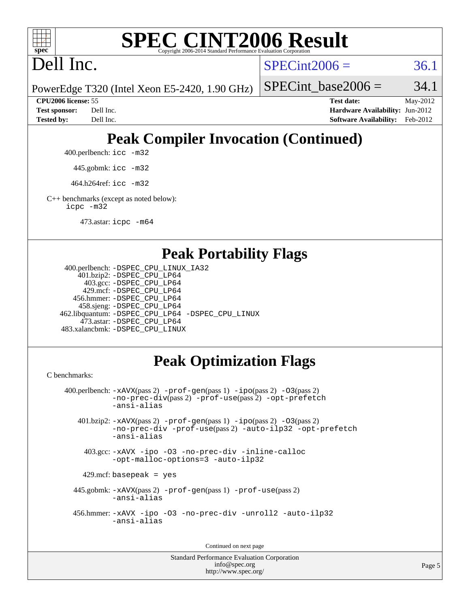

Dell Inc.

 $SPECint2006 = 36.1$  $SPECint2006 = 36.1$ 

PowerEdge T320 (Intel Xeon E5-2420, 1.90 GHz)

SPECint base2006 =  $34.1$ 

**[CPU2006 license:](http://www.spec.org/auto/cpu2006/Docs/result-fields.html#CPU2006license)** 55 **[Test date:](http://www.spec.org/auto/cpu2006/Docs/result-fields.html#Testdate)** May-2012 **[Test sponsor:](http://www.spec.org/auto/cpu2006/Docs/result-fields.html#Testsponsor)** Dell Inc. **[Hardware Availability:](http://www.spec.org/auto/cpu2006/Docs/result-fields.html#HardwareAvailability)** Jun-2012 **[Tested by:](http://www.spec.org/auto/cpu2006/Docs/result-fields.html#Testedby)** Dell Inc. **[Software Availability:](http://www.spec.org/auto/cpu2006/Docs/result-fields.html#SoftwareAvailability)** Feb-2012

### **[Peak Compiler Invocation \(Continued\)](http://www.spec.org/auto/cpu2006/Docs/result-fields.html#PeakCompilerInvocation)**

400.perlbench: [icc -m32](http://www.spec.org/cpu2006/results/res2012q3/cpu2006-20120703-23475.flags.html#user_peakCCLD400_perlbench_intel_icc_a6a621f8d50482236b970c6ac5f55f93)

445.gobmk: [icc -m32](http://www.spec.org/cpu2006/results/res2012q3/cpu2006-20120703-23475.flags.html#user_peakCCLD445_gobmk_intel_icc_a6a621f8d50482236b970c6ac5f55f93)

464.h264ref: [icc -m32](http://www.spec.org/cpu2006/results/res2012q3/cpu2006-20120703-23475.flags.html#user_peakCCLD464_h264ref_intel_icc_a6a621f8d50482236b970c6ac5f55f93)

[C++ benchmarks \(except as noted below\):](http://www.spec.org/auto/cpu2006/Docs/result-fields.html#CXXbenchmarksexceptasnotedbelow) [icpc -m32](http://www.spec.org/cpu2006/results/res2012q3/cpu2006-20120703-23475.flags.html#user_CXXpeak_intel_icpc_4e5a5ef1a53fd332b3c49e69c3330699)

473.astar: [icpc -m64](http://www.spec.org/cpu2006/results/res2012q3/cpu2006-20120703-23475.flags.html#user_peakCXXLD473_astar_intel_icpc_64bit_fc66a5337ce925472a5c54ad6a0de310)

#### **[Peak Portability Flags](http://www.spec.org/auto/cpu2006/Docs/result-fields.html#PeakPortabilityFlags)**

```
 400.perlbench: -DSPEC_CPU_LINUX_IA32
    401.bzip2: -DSPEC_CPU_LP64
      403.gcc: -DSPEC_CPU_LP64
     429.mcf: -DSPEC_CPU_LP64
   456.hmmer: -DSPEC_CPU_LP64
    458.sjeng: -DSPEC_CPU_LP64
462.libquantum: -DSPEC_CPU_LP64 -DSPEC_CPU_LINUX
     473.astar: -DSPEC_CPU_LP64
483.xalancbmk: -DSPEC_CPU_LINUX
```
### **[Peak Optimization Flags](http://www.spec.org/auto/cpu2006/Docs/result-fields.html#PeakOptimizationFlags)**

[C benchmarks](http://www.spec.org/auto/cpu2006/Docs/result-fields.html#Cbenchmarks):

```
 400.perlbench: -xAVX(pass 2) -prof-gen(pass 1) -ipo(pass 2) -O3(pass 2)
           -no-prec-div(pass 2) -prof-use(pass 2) -opt-prefetch
          -ansi-alias
   401.bzip2: -xAVX(pass 2) -prof-gen(pass 1) -ipo(pass 2) -O3(pass 2)
           -no-prec-div -prof-use(pass 2) -auto-ilp32 -opt-prefetch
           -ansi-alias
    403.gcc: -xAVX -ipo -O3 -no-prec-div -inline-calloc
           -opt-malloc-options=3 -auto-ilp32
   429.mcf: basepeak = yes
  445.gobmk: -xAVX(pass 2) -prof-gen(pass 1) -prof-use(pass 2)
           -ansi-alias
  456.hmmer: -xAVX -ipo -O3 -no-prec-div -unroll2 -auto-ilp32
           -ansi-alias
```
Continued on next page

```
Standard Performance Evaluation Corporation
             info@spec.org
          http://www.spec.org/
```